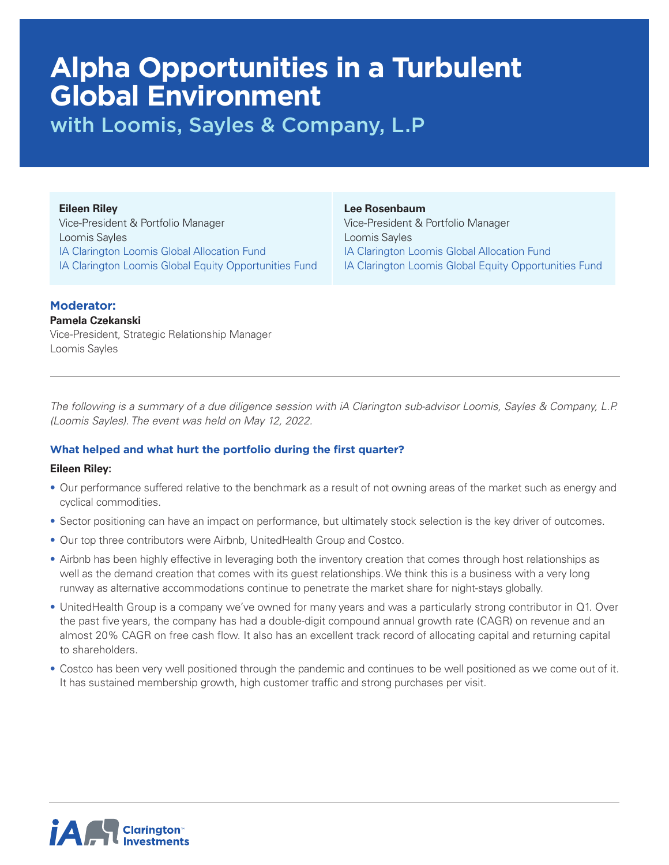# **Alpha Opportunities in a Turbulent Global Environment**

with Loomis, Sayles & Company, L.P

#### **Eileen Riley**

Vice-President & Portfolio Manager Loomis Sayles IA Clarington Loomis Global Allocation Fund IA Clarington Loomis Global Equity Opportunities Fund

## **Lee Rosenbaum**

Vice-President & Portfolio Manager Loomis Sayles IA Clarington Loomis Global Allocation Fund IA Clarington Loomis Global Equity Opportunities Fund

# **Moderator:**

## **Pamela Czekanski**

Vice-President, Strategic Relationship Manager Loomis Sayles

*The following is a summary of a due diligence session with iA Clarington sub-advisor Loomis, Sayles & Company, L.P. (Loomis Sayles). The event was held on May 12, 2022.* 

# **What helped and what hurt the portfolio during the first quarter?**

## **Eileen Riley:**

- Our performance suffered relative to the benchmark as a result of not owning areas of the market such as energy and cyclical commodities.
- Sector positioning can have an impact on performance, but ultimately stock selection is the key driver of outcomes.
- Our top three contributors were Airbnb, UnitedHealth Group and Costco.
- Airbnb has been highly effective in leveraging both the inventory creation that comes through host relationships as well as the demand creation that comes with its guest relationships. We think this is a business with a very long runway as alternative accommodations continue to penetrate the market share for night-stays globally.
- UnitedHealth Group is a company we've owned for many years and was a particularly strong contributor in Q1. Over the past five years, the company has had a double-digit compound annual growth rate (CAGR) on revenue and an almost 20% CAGR on free cash flow. It also has an excellent track record of allocating capital and returning capital to shareholders.
- Costco has been very well positioned through the pandemic and continues to be well positioned as we come out of it. It has sustained membership growth, high customer traffic and strong purchases per visit.

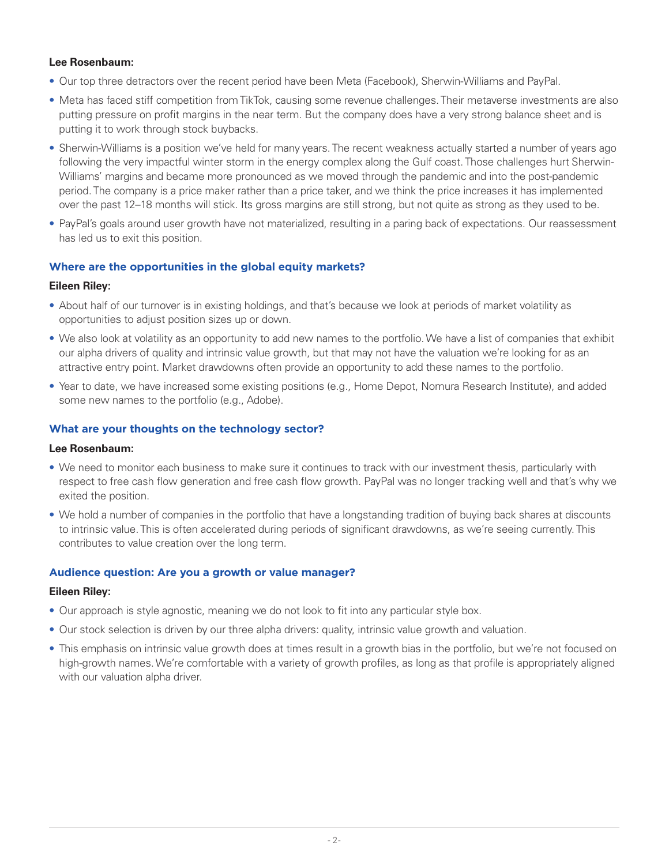## **Lee Rosenbaum:**

- Our top three detractors over the recent period have been Meta (Facebook), Sherwin-Williams and PayPal.
- Meta has faced stiff competition from TikTok, causing some revenue challenges. Their metaverse investments are also putting pressure on profit margins in the near term. But the company does have a very strong balance sheet and is putting it to work through stock buybacks.
- Sherwin-Williams is a position we've held for many years. The recent weakness actually started a number of years ago following the very impactful winter storm in the energy complex along the Gulf coast. Those challenges hurt Sherwin-Williams' margins and became more pronounced as we moved through the pandemic and into the post-pandemic period. The company is a price maker rather than a price taker, and we think the price increases it has implemented over the past 12–18 months will stick. Its gross margins are still strong, but not quite as strong as they used to be.
- PayPal's goals around user growth have not materialized, resulting in a paring back of expectations. Our reassessment has led us to exit this position.

## **Where are the opportunities in the global equity markets?**

## **Eileen Riley:**

- About half of our turnover is in existing holdings, and that's because we look at periods of market volatility as opportunities to adjust position sizes up or down.
- We also look at volatility as an opportunity to add new names to the portfolio. We have a list of companies that exhibit our alpha drivers of quality and intrinsic value growth, but that may not have the valuation we're looking for as an attractive entry point. Market drawdowns often provide an opportunity to add these names to the portfolio.
- Year to date, we have increased some existing positions (e.g., Home Depot, Nomura Research Institute), and added some new names to the portfolio (e.g., Adobe).

## **What are your thoughts on the technology sector?**

## **Lee Rosenbaum:**

- We need to monitor each business to make sure it continues to track with our investment thesis, particularly with respect to free cash flow generation and free cash flow growth. PayPal was no longer tracking well and that's why we exited the position.
- We hold a number of companies in the portfolio that have a longstanding tradition of buying back shares at discounts to intrinsic value. This is often accelerated during periods of significant drawdowns, as we're seeing currently. This contributes to value creation over the long term.

# **Audience question: Are you a growth or value manager?**

## **Eileen Riley:**

- Our approach is style agnostic, meaning we do not look to fit into any particular style box.
- Our stock selection is driven by our three alpha drivers: quality, intrinsic value growth and valuation.
- This emphasis on intrinsic value growth does at times result in a growth bias in the portfolio, but we're not focused on high-growth names. We're comfortable with a variety of growth profiles, as long as that profile is appropriately aligned with our valuation alpha driver.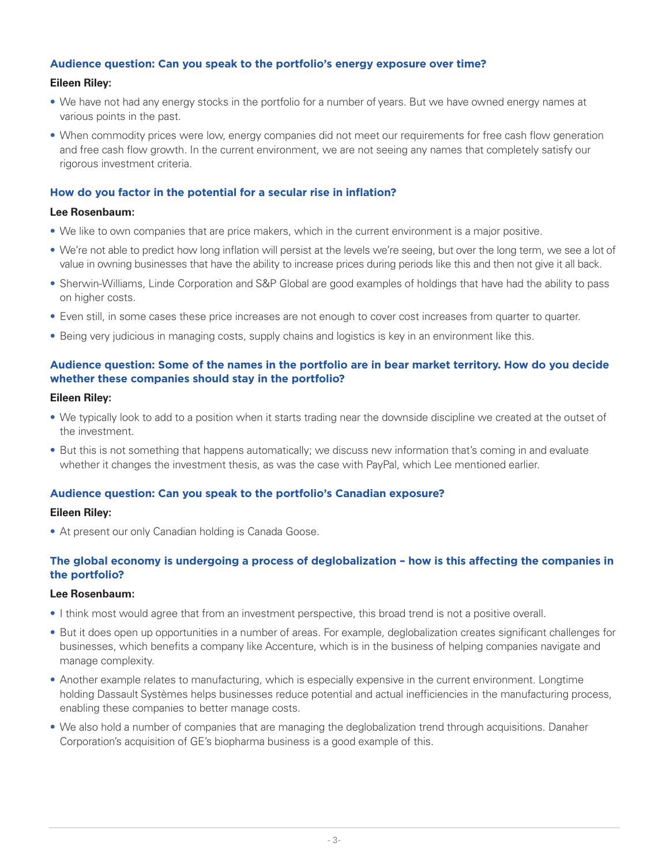## **Audience question: Can you speak to the portfolio's energy exposure over time?**

## **Eileen Riley:**

- We have not had any energy stocks in the portfolio for a number of years. But we have owned energy names at various points in the past.
- When commodity prices were low, energy companies did not meet our requirements for free cash flow generation and free cash flow growth. In the current environment, we are not seeing any names that completely satisfy our rigorous investment criteria.

## **How do you factor in the potential for a secular rise in inflation?**

#### **Lee Rosenbaum:**

- We like to own companies that are price makers, which in the current environment is a major positive.
- We're not able to predict how long inflation will persist at the levels we're seeing, but over the long term, we see a lot of value in owning businesses that have the ability to increase prices during periods like this and then not give it all back.
- Sherwin-Williams, Linde Corporation and S&P Global are good examples of holdings that have had the ability to pass on higher costs.
- Even still, in some cases these price increases are not enough to cover cost increases from quarter to quarter.
- Being very judicious in managing costs, supply chains and logistics is key in an environment like this.

## **Audience question: Some of the names in the portfolio are in bear market territory. How do you decide whether these companies should stay in the portfolio?**

#### **Eileen Riley:**

- We typically look to add to a position when it starts trading near the downside discipline we created at the outset of the investment.
- But this is not something that happens automatically; we discuss new information that's coming in and evaluate whether it changes the investment thesis, as was the case with PayPal, which Lee mentioned earlier.

#### **Audience question: Can you speak to the portfolio's Canadian exposure?**

#### **Eileen Riley:**

• At present our only Canadian holding is Canada Goose.

## **The global economy is undergoing a process of deglobalization – how is this affecting the companies in the portfolio?**

#### **Lee Rosenbaum:**

- I think most would agree that from an investment perspective, this broad trend is not a positive overall.
- But it does open up opportunities in a number of areas. For example, deglobalization creates significant challenges for businesses, which benefits a company like Accenture, which is in the business of helping companies navigate and manage complexity.
- Another example relates to manufacturing, which is especially expensive in the current environment. Longtime holding Dassault Systèmes helps businesses reduce potential and actual inefficiencies in the manufacturing process, enabling these companies to better manage costs.
- We also hold a number of companies that are managing the deglobalization trend through acquisitions. Danaher Corporation's acquisition of GE's biopharma business is a good example of this.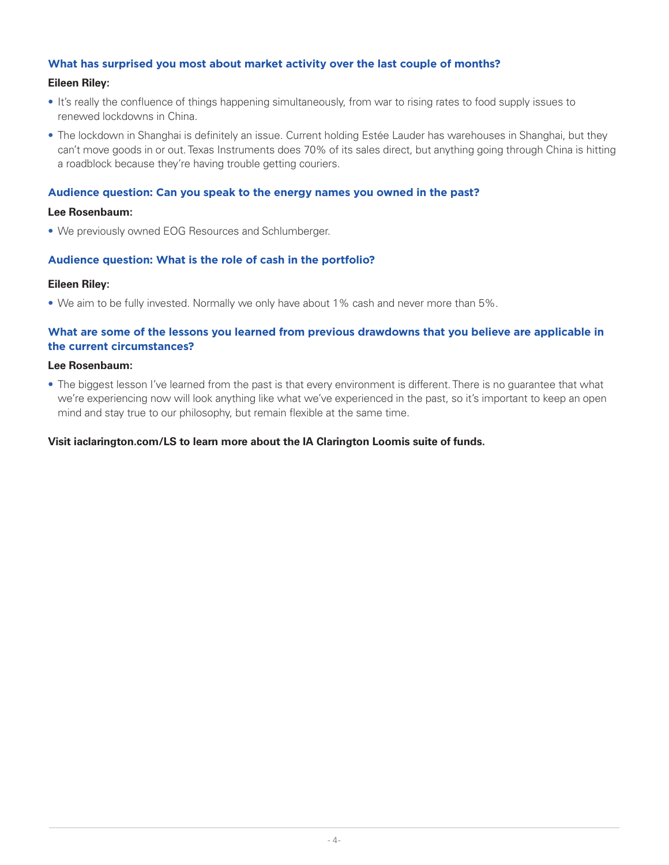## **What has surprised you most about market activity over the last couple of months?**

#### **Eileen Riley:**

- It's really the confluence of things happening simultaneously, from war to rising rates to food supply issues to renewed lockdowns in China.
- The lockdown in Shanghai is definitely an issue. Current holding Estée Lauder has warehouses in Shanghai, but they can't move goods in or out. Texas Instruments does 70% of its sales direct, but anything going through China is hitting a roadblock because they're having trouble getting couriers.

## **Audience question: Can you speak to the energy names you owned in the past?**

#### **Lee Rosenbaum:**

• We previously owned EOG Resources and Schlumberger.

## **Audience question: What is the role of cash in the portfolio?**

#### **Eileen Riley:**

• We aim to be fully invested. Normally we only have about 1% cash and never more than 5%.

## **What are some of the lessons you learned from previous drawdowns that you believe are applicable in the current circumstances?**

#### **Lee Rosenbaum:**

• The biggest lesson I've learned from the past is that every environment is different. There is no guarantee that what we're experiencing now will look anything like what we've experienced in the past, so it's important to keep an open mind and stay true to our philosophy, but remain flexible at the same time.

#### **Visit iaclarington.com/LS to learn more about the IA Clarington Loomis suite of funds.**